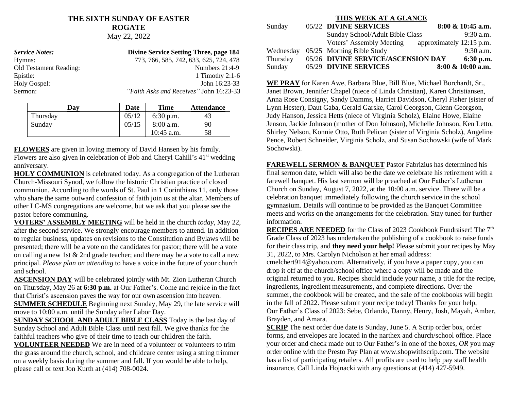# **THE SIXTH SUNDAY OF EASTER ROGATE**

May 22, 2022

| <b>Service Notes:</b>         | Divine Service Setting Three, page 184         |
|-------------------------------|------------------------------------------------|
| Hymns:                        | 773, 766, 585, 742, 633, 625, 724, 478         |
| <b>Old Testament Reading:</b> | Numbers $21:4-9$                               |
| Epistle:                      | 1 Timothy 2:1-6                                |
| Holy Gospel:                  | John 16:23-33                                  |
| Sermon:                       | <i>"Faith Asks and Receives"</i> John 16:23-33 |

| Day      | Date   | <b>Time</b>     | <b>Attendance</b> |
|----------|--------|-----------------|-------------------|
| Thursday | 05/12  | $6:30$ p.m.     | 43                |
| Sunday   | 0.5/15 | 8:00 a.m.<br>90 |                   |
|          |        | $10:45$ a.m.    | 58                |

**FLOWERS** are given in loving memory of David Hansen by his family. Flowers are also given in celebration of Bob and Cheryl Cahill's 41st wedding anniversary.

**HOLY COMMUNION** is celebrated today. As a congregation of the Lutheran Church-Missouri Synod, we follow the historic Christian practice of closed communion. According to the words of St. Paul in 1 Corinthians 11, only those who share the same outward confession of faith join us at the altar. Members of other LC-MS congregations are welcome, but we ask that you please see the pastor before communing.

**VOTERS' ASSEMBLY MEETING** will be held in the church *today*, May 22, after the second service. We strongly encourage members to attend. In addition to regular business, updates on revisions to the Constitution and Bylaws will be presented; there will be a vote on the candidates for pastor; there will be a vote on calling a new 1st & 2nd grade teacher; and there may be a vote to call a new principal. *Please plan on attending* to have a voice in the future of your church and school.

**ASCENSION DAY** will be celebrated jointly with Mt. Zion Lutheran Church on Thursday, May 26 at **6:30 p.m.** at Our Father's. Come and rejoice in the fact that Christ's ascension paves the way for our own ascension into heaven.

**SUMMER SCHEDULE** Beginning next Sunday, May 29, the late service will move to 10:00 a.m. until the Sunday after Labor Day.

**SUNDAY SCHOOL AND ADULT BIBLE CLASS** Today is the last day of Sunday School and Adult Bible Class until next fall. We give thanks for the faithful teachers who give of their time to teach our children the faith.

**VOLUNTEER NEEDED** We are in need of a volunteer or volunteers to trim the grass around the church, school, and childcare center using a string trimmer on a weekly basis during the summer and fall. If you would be able to help, please call or text Jon Kurth at (414) 708-0024.

#### **THIS WEEK AT A GLANCE**

| Sunday    | 05/22 DIVINE SERVICES              | 8:00 & 10:45 a.m.        |
|-----------|------------------------------------|--------------------------|
|           | Sunday School/Adult Bible Class    | $9:30$ a.m.              |
|           | Voters' Assembly Meeting           | approximately 12:15 p.m. |
| Wednesday | 05/25 Morning Bible Study          | $9:30$ a.m.              |
| Thursday  | 05/26 DIVINE SERVICE/ASCENSION DAY | $6:30$ p.m.              |
| Sunday    | 05/29 DIVINE SERVICES              | 8:00 & 10:00 a.m.        |

**WE PRAY** for Karen Awe, Barbara Blue, Bill Blue, Michael Borchardt, Sr., Janet Brown, Jennifer Chapel (niece of Linda Christian), Karen Christiansen, Anna Rose Consigny, Sandy Damms, Harriet Davidson, Cheryl Fisher (sister of Lynn Hester), Daut Gaba, Gerald Garske, Carol Georgson, Glenn Georgson, Judy Hanson, Jessica Hetts (niece of Virginia Scholz), Elaine Howe, Elaine Jenson, Jackie Johnson (mother of Don Johnson), Michelle Johnson, Ken Letto, Shirley Nelson, Konnie Otto, Ruth Pelican (sister of Virginia Scholz), Angeline Pence, Robert Schneider, Virginia Scholz, and Susan Sochowski (wife of Mark Sochowski).

**FAREWELL SERMON & BANQUET** Pastor Fabrizius has determined his final sermon date, which will also be the date we celebrate his retirement with a farewell banquet. His last sermon will be preached at Our Father's Lutheran Church on Sunday, August 7, 2022, at the 10:00 a.m. service. There will be a celebration banquet immediately following the church service in the school gymnasium. Details will continue to be provided as the Banquet Committee meets and works on the arrangements for the celebration. Stay tuned for further information.

**RECIPES ARE NEEDED** for the Class of 2023 Cookbook Fundraiser! The 7<sup>th</sup> Grade Class of 2023 has undertaken the publishing of a cookbook to raise funds for their class trip, and **they need your help!** Please submit your recipes by May 31, 2022, to Mrs. Carolyn Nicholson at her email address:

cmelchert914@yahoo.com. Alternatively, if you have a paper copy, you can drop it off at the church/school office where a copy will be made and the original returned to you. Recipes should include your name, a title for the recipe, ingredients, ingredient measurements, and complete directions. Over the summer, the cookbook will be created, and the sale of the cookbooks will begin in the fall of 2022. Please submit your recipe today! Thanks for your help, Our Father's Class of 2023: Sebe, Orlando, Danny, Henry, Josh, Mayah, Amber, Brayden, and Amara.

**SCRIP** The next order due date is Sunday, June 5. A Scrip order box, order forms, and envelopes are located in the narthex and church/school office. Place your order and check made out to Our Father's in one of the boxes, *OR* you may order online with the Presto Pay Plan at www.shopwithscrip.com. The website has a list of participating retailers. All profits are used to help pay staff health insurance. Call Linda Hojnacki with any questions at (414) 427-5949.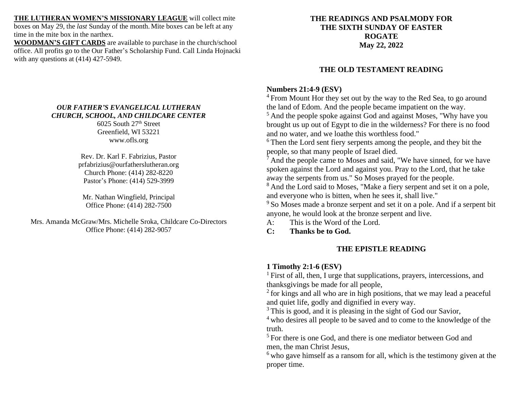**THE LUTHERAN WOMEN'S MISSIONARY LEAGUE** will collect mite boxes on May 29, the *last* Sunday of the month. Mite boxes can be left at any time in the mite box in the narthex.

**WOODMAN'S GIFT CARDS** are available to purchase in the church/school office. All profits go to the Our Father's Scholarship Fund. Call Linda Hojnacki with any questions at (414) 427-5949.

### *OUR FATHER'S EVANGELICAL LUTHERAN CHURCH, SCHOOL, AND CHILDCARE CENTER*

6025 South 27 th Street Greenfield, WI 53221 www.ofls.org

Rev. Dr. Karl F. Fabrizius, Pastor prfabrizius@ourfatherslutheran.org Church Phone: (414) 282-8220 Pastor's Phone: (414) 529-3999

Mr. Nathan Wingfield, Principal Office Phone: (414) 282-7500

Mrs. Amanda McGraw/Mrs. Michelle Sroka, Childcare Co-Directors Office Phone: (414) 282-9057

### **THE READINGS AND PSALMODY FOR THE SIXTH SUNDAY OF EASTER ROGATE May 22, 2022**

## **THE OLD TESTAMENT READING**

### **Numbers 21:4-9 (ESV)**

<sup>4</sup> From Mount Hor they set out by the way to the Red Sea, to go around the land of Edom. And the people became impatient on the way.

<sup>5</sup> And the people spoke against God and against Moses, "Why have you brought us up out of Egypt to die in the wilderness? For there is no food and no water, and we loathe this worthless food."

<sup>6</sup>Then the Lord sent fiery serpents among the people, and they bit the people, so that many people of Israel died.

 $<sup>7</sup>$  And the people came to Moses and said, "We have sinned, for we have</sup> spoken against the Lord and against you. Pray to the Lord, that he take away the serpents from us." So Moses prayed for the people.

<sup>8</sup> And the Lord said to Moses, "Make a fiery serpent and set it on a pole, and everyone who is bitten, when he sees it, shall live."

<sup>9</sup>So Moses made a bronze serpent and set it on a pole. And if a serpent bit anyone, he would look at the bronze serpent and live.

A: This is the Word of the Lord.

**C: Thanks be to God.**

### **THE EPISTLE READING**

### **1 Timothy 2:1-6 (ESV)**

<sup>1</sup> First of all, then, I urge that supplications, prayers, intercessions, and thanksgivings be made for all people,

<sup>2</sup> for kings and all who are in high positions, that we may lead a peaceful and quiet life, godly and dignified in every way.

<sup>3</sup>This is good, and it is pleasing in the sight of God our Savior,

<sup>4</sup> who desires all people to be saved and to come to the knowledge of the truth.

<sup>5</sup> For there is one God, and there is one mediator between God and men, the man Christ Jesus,

 $6$  who gave himself as a ransom for all, which is the testimony given at the proper time.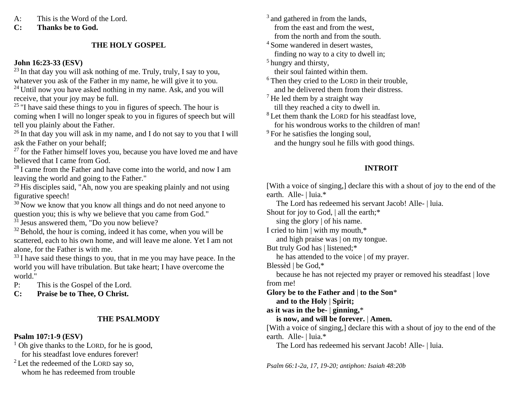A: This is the Word of the Lord.

**C: Thanks be to God.**

## **THE HOLY GOSPEL**

## **John 16:23-33 (ESV)**

 $^{23}$  In that day you will ask nothing of me. Truly, truly, I say to you, whatever you ask of the Father in my name, he will give it to you.

 $24$  Until now you have asked nothing in my name. Ask, and you will receive, that your joy may be full.

 $25$  "I have said these things to you in figures of speech. The hour is coming when I will no longer speak to you in figures of speech but will tell you plainly about the Father.

 $26$  In that day you will ask in my name, and I do not say to you that I will ask the Father on your behalf;

 $27$  for the Father himself loves you, because you have loved me and have believed that I came from God.

 $28$ I came from the Father and have come into the world, and now I am leaving the world and going to the Father."

 $29$  His disciples said, "Ah, now you are speaking plainly and not using figurative speech!

 $30$  Now we know that you know all things and do not need anyone to question you; this is why we believe that you came from God."

 $31$  Jesus answered them, "Do you now believe?

 $32$  Behold, the hour is coming, indeed it has come, when you will be scattered, each to his own home, and will leave me alone. Yet I am not alone, for the Father is with me.

<sup>33</sup>I have said these things to you, that in me you may have peace. In the world you will have tribulation. But take heart; I have overcome the world."

P: This is the Gospel of the Lord.

**C: Praise be to Thee, O Christ.**

## **THE PSALMODY**

## **Psalm 107:1-9 (ESV)**

 $<sup>1</sup>$  Oh give thanks to the LORD, for he is good,</sup> for his steadfast love endures forever!

<sup>2</sup> Let the redeemed of the LORD say so, whom he has redeemed from trouble <sup>3</sup> and gathered in from the lands, from the east and from the west, from the north and from the south.

<sup>4</sup> Some wandered in desert wastes. finding no way to a city to dwell in;

<sup>5</sup> hungry and thirsty, their soul fainted within them.

<sup>6</sup> Then they cried to the LORD in their trouble, and he delivered them from their distress.

 $<sup>7</sup>$  He led them by a straight way</sup> till they reached a city to dwell in.

<sup>8</sup> Let them thank the LORD for his steadfast love. for his wondrous works to the children of man!

 $9^9$  For he satisfies the longing soul, and the hungry soul he fills with good things.

# **INTROIT**

[With a voice of singing,] declare this with a shout of joy to the end of the earth. Alle- | luia.\*

The Lord has redeemed his servant Jacob! Alle- | luia.

Shout for joy to God, | all the earth;\*

sing the glory | of his name.

I cried to him | with my mouth,\*

and high praise was | on my tongue.

But truly God has | listened;\*

he has attended to the voice | of my prayer.

Blessèd | be God,\*

 because he has not rejected my prayer or removed his steadfast | love from me!

**Glory be to the Father and** | **to the Son**\*

 **and to the Holy** | **Spirit;**

**as it was in the be-** | **ginning,**\*

 **is now, and will be forever.** | **Amen.**

[With a voice of singing,] declare this with a shout of joy to the end of the earth. Alle- | luia.\*

The Lord has redeemed his servant Jacob! Alle- | luia.

*Psalm 66:1-2a, 17, 19-20; antiphon: Isaiah 48:20b*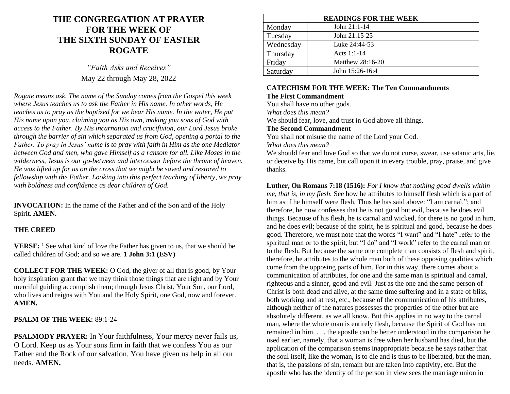# **THE CONGREGATION AT PRAYER FOR THE WEEK OF THE SIXTH SUNDAY OF EASTER ROGATE**

*"Faith Asks and Receives"* May 22 through May 28, 2022

*Rogate means ask. The name of the Sunday comes from the Gospel this week where Jesus teaches us to ask the Father in His name. In other words, He teaches us to pray as the baptized for we bear His name. In the water, He put His name upon you, claiming you as His own, making you sons of God with access to the Father. By His incarnation and crucifixion, our Lord Jesus broke through the barrier of sin which separated us from God, opening a portal to the Father. To pray in Jesus' name is to pray with faith in Him as the one Mediator between God and men, who gave Himself as a ransom for all. Like Moses in the wilderness, Jesus is our go-between and intercessor before the throne of heaven. He was lifted up for us on the cross that we might be saved and restored to fellowship with the Father. Looking into this perfect teaching of liberty, we pray with boldness and confidence as dear children of God.*

**INVOCATION:** In the name of the Father and of the Son and of the Holy Spirit. **AMEN.**

#### **THE CREED**

**VERSE:** <sup>1</sup> See what kind of love the Father has given to us, that we should be called children of God; and so we are. **1 John 3:1 (ESV)**

**COLLECT FOR THE WEEK:** O God, the giver of all that is good, by Your holy inspiration grant that we may think those things that are right and by Your merciful guiding accomplish them; through Jesus Christ, Your Son, our Lord, who lives and reigns with You and the Holy Spirit, one God, now and forever. **AMEN.**

### **PSALM OF THE WEEK:** 89:1-24

**PSALMODY PRAYER:** In Your faithfulness, Your mercy never fails us, O Lord. Keep us as Your sons firm in faith that we confess You as our Father and the Rock of our salvation. You have given us help in all our needs. **AMEN.**

| <b>READINGS FOR THE WEEK</b> |                  |
|------------------------------|------------------|
| Monday                       | John $21:1-14$   |
| Tuesday                      | John 21:15-25    |
| Wednesday                    | Luke 24:44-53    |
| Thursday                     | Acts 1:1-14      |
| Friday                       | Matthew 28:16-20 |
| Saturday                     | John 15:26-16:4  |

### **CATECHISM FOR THE WEEK: The Ten Commandments The First Commandment**

You shall have no other gods.

*What does this mean?*

We should fear, love, and trust in God above all things.

#### **The Second Commandment**

You shall not misuse the name of the Lord your God. *What does this mean?*

We should fear and love God so that we do not curse, swear, use satanic arts, lie, or deceive by His name, but call upon it in every trouble, pray, praise, and give thanks.

**Luther, On Romans 7:18 (1516):** *For I know that nothing good dwells within me, that is, in my flesh.* See how he attributes to himself flesh which is a part of him as if he himself were flesh. Thus he has said above: "I am carnal."; and therefore, he now confesses that he is not good but evil, because he does evil things. Because of his flesh, he is carnal and wicked, for there is no good in him, and he does evil; because of the spirit, he is spiritual and good, because he does good. Therefore, we must note that the words "I want" and "I hate" refer to the spiritual man or to the spirit, but "I do" and "I work" refer to the carnal man or to the flesh. But because the same one complete man consists of flesh and spirit, therefore, he attributes to the whole man both of these opposing qualities which come from the opposing parts of him. For in this way, there comes about a communication of attributes, for one and the same man is spiritual and carnal, righteous and a sinner, good and evil. Just as the one and the same person of Christ is both dead and alive, at the same time suffering and in a state of bliss, both working and at rest, etc., because of the communication of his attributes, although neither of the natures possesses the properties of the other but are absolutely different, as we all know. But this applies in no way to the carnal man, where the whole man is entirely flesh, because the Spirit of God has not remained in him. . . . the apostle can be better understood in the comparison he used earlier, namely, that a woman is free when her husband has died, but the application of the comparison seems inappropriate because he says rather that the soul itself, like the woman, is to die and is thus to be liberated, but the man, that is, the passions of sin, remain but are taken into captivity, etc. But the apostle who has the identity of the person in view sees the marriage union in